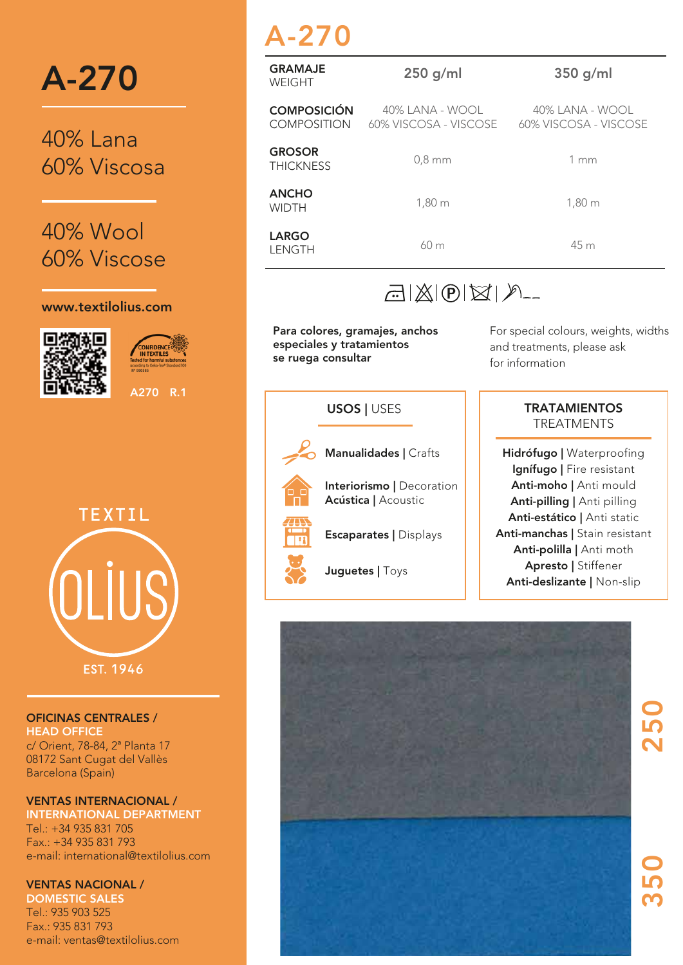

40% Lana 60% Viscosa

40% Wool 60% Viscose

#### www.textilolius.com



```
Nº 990585
```
A270 R.1



**EST. 1946** 

#### OFICINAS CENTRALES / HEAD OFFICE

c/ Orient, 78-84, 2ª Planta 17 08172 Sant Cugat del Vallès Barcelona (Spain)

### VENTAS INTERNACIONAL /

INTERNATIONAL DEPARTMENT Tel.: +34 935 831 705 Fax.: +34 935 831 793 e-mail: international@textilolius.com

### VENTAS NACIONAL /

DOMESTIC SALES Tel.: 935 903 525 Fax.: 935 831 793 e-mail: ventas@textilolius.com

## A-270

| <b>GRAMAJE</b><br>WEIGHT                 | $250$ g/ml       | $350$ g/ml                                                     |  |  |  |  |
|------------------------------------------|------------------|----------------------------------------------------------------|--|--|--|--|
| <b>COMPOSICIÓN</b><br><b>COMPOSITION</b> | 40% LANA - WOOL  | 40% LANA - WOOL<br>60% VISCOSA - VISCOSE 60% VISCOSA - VISCOSE |  |  |  |  |
| <b>GROSOR</b><br><b>THICKNESS</b>        | $0,8$ mm         | 1mm                                                            |  |  |  |  |
| <b>ANCHO</b><br><b>WIDTH</b>             | $1,80 \text{ m}$ | $1,80 \; \mathrm{m}$                                           |  |  |  |  |
| <b>LARGO</b><br>LENGTH                   | 60 <sub>m</sub>  | 45 m                                                           |  |  |  |  |

### $\mathbb{E}(|\mathbb{X}|\mathbb{D}|\boxtimes |\mathcal{P}|)$

Para colores, gramajes, anchos especiales y tratamientos se ruega consultar

For special colours, weights, widths and treatments, please ask for information

# Manualidades | Crafts Interiorismo | Decoration Acústica | Acoustic Escaparates | Displays Juguetes | Toys USOS | USES

### **TRATAMIENTOS TREATMENTS**

Hidrófugo | Waterproofing Ignífugo | Fire resistant Anti-moho | Anti mould Anti-pilling | Anti pilling Anti-estático | Anti static Anti-manchas | Stain resistant Anti-polilla | Anti moth Apresto | Stiffener Anti-deslizante | Non-slip



350